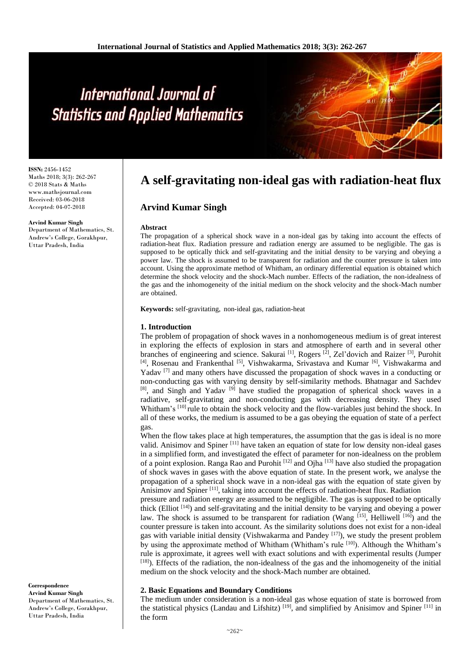**ISSN:** 2456-1452 Maths 2018; 3(3): 262-267 © 2018 Stats & Maths www.mathsjournal.com Received: 03-06-2018 Accepted: 04-07-2018

**Arvind Kumar Singh**

Department of Mathematics, St. Andrew's College, Gorakhpur, Uttar Pradesh, India

## **A self-gravitating non-ideal gas with radiation-heat flux**

### **Arvind Kumar Singh**

#### **Abstract**

The propagation of a spherical shock wave in a non-ideal gas by taking into account the effects of radiation-heat flux. Radiation pressure and radiation energy are assumed to be negligible. The gas is supposed to be optically thick and self-gravitating and the initial density to be varying and obeying a power law. The shock is assumed to be transparent for radiation and the counter pressure is taken into account. Using the approximate method of Whitham, an ordinary differential equation is obtained which determine the shock velocity and the shock-Mach number. Effects of the radiation, the non-idealness of the gas and the inhomogeneity of the initial medium on the shock velocity and the shock-Mach number are obtained.

**Keywords:** self-gravitating, non-ideal gas, radiation-heat

#### **1. Introduction**

The problem of propagation of shock waves in a nonhomogeneous medium is of great interest in exploring the effects of explosion in stars and atmosphere of earth and in several other branches of engineering and science. Sakurai <sup>[1]</sup>, Rogers <sup>[2]</sup>, Zel'dovich and Raizer <sup>[3]</sup>, Purohit [4], Rosenau and Frankenthal<sup>[5]</sup>, Vishwakarma, Srivastava and Kumar<sup>[6]</sup>, Vishwakarma and Yadav <sup>[7]</sup> and many others have discussed the propagation of shock waves in a conducting or non-conducting gas with varying density by self-similarity methods. Bhatnagar and Sachdev [8], and Singh and Yadav<sup>[9]</sup> have studied the propagation of spherical shock waves in a radiative, self-gravitating and non-conducting gas with decreasing density. They used Whitham's [10] rule to obtain the shock velocity and the flow-variables just behind the shock. In all of these works, the medium is assumed to be a gas obeying the equation of state of a perfect gas.

When the flow takes place at high temperatures, the assumption that the gas is ideal is no more valid. Anisimov and Spiner [11] have taken an equation of state for low density non-ideal gases in a simplified form, and investigated the effect of parameter for non-idealness on the problem of a point explosion. Ranga Rao and Purohit  $[12]$  and Ojha  $[13]$  have also studied the propagation of shock waves in gases with the above equation of state. In the present work, we analyse the propagation of a spherical shock wave in a non-ideal gas with the equation of state given by Anisimov and Spiner [11], taking into account the effects of radiation-heat flux. Radiation

pressure and radiation energy are assumed to be negligible. The gas is supposed to be optically thick (Elliot  $[14]$ ) and self-gravitating and the initial density to be varying and obeying a power law. The shock is assumed to be transparent for radiation (Wang  $^{[15]}$ , Helliwell  $^{[16]}$ ) and the counter pressure is taken into account. As the similarity solutions does not exist for a non-ideal gas with variable initial density (Vishwakarma and Pandey  $[17]$ ), we study the present problem by using the approximate method of Whitham (Whitham's rule [10]). Although the Whitham's rule is approximate, it agrees well with exact solutions and with experimental results (Jumper [18]). Effects of the radiation, the non-idealness of the gas and the inhomogeneity of the initial medium on the shock velocity and the shock-Mach number are obtained.

#### **2. Basic Equations and Boundary Conditions**

The medium under consideration is a non-ideal gas whose equation of state is borrowed from the statistical physics (Landau and Lifshitz)<sup>[19]</sup>, and simplified by Anisimov and Spiner<sup>[11]</sup> in the form

**Correspondence Arvind Kumar Singh** Department of Mathematics, St. Andrew's College, Gorakhpur, Uttar Pradesh, India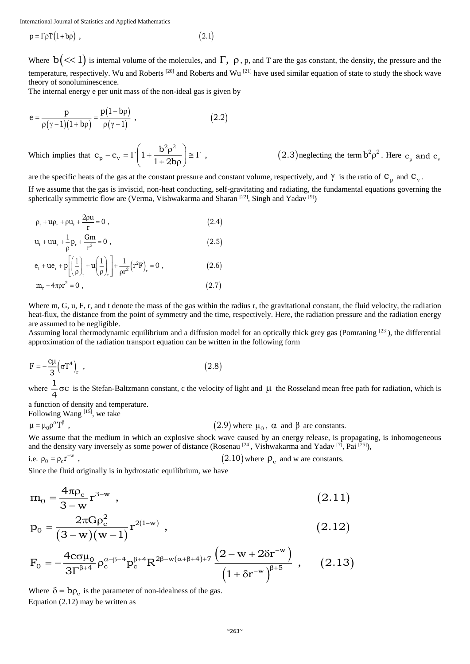$p = \Gamma \rho T (1 + b \rho)$ , (2.1)

Where  $b \, (<1)$  is internal volume of the molecules, and  $\Gamma$ ,  $\rho$ ,  $p$ , and T are the gas constant, the density, the pressure and the temperature, respectively. Wu and Roberts [20] and Roberts and Wu [21] have used similar equation of state to study the shock wave theory of sonoluminescence.

The internal energy e per unit mass of the non-ideal gas is given by

$$
e = \frac{p}{\rho(\gamma - 1)(1 + b\rho)} = \frac{p(1 - b\rho)}{\rho(\gamma - 1)} ,
$$
 (2.2)

Which implies that  $c_p - c_v = \Gamma\left(1 + \frac{b^2 \rho^2}{1 - \rho^2}\right) \approx \Gamma$  $(2.3)$ neglecting the term $b^2 \rho^2$ . Here  $c_p$  and  $c_v$  $(1+2b\rho)$  $2$  .  $2$ p <sup>v</sup>  $c_p - c_v = \Gamma \left( 1 + \frac{b^2 \rho^2}{1 + 2bo} \right) \approx \Gamma$ , (2.3)

are the specific heats of the gas at the constant pressure and constant volume, respectively, and  $\gamma$  is the ratio of  $C_p$  and  $C_v$ .

If we assume that the gas is inviscid, non-heat conducting, self-gravitating and radiating, the fundamental equations governing the spherically symmetric flow are (Verma, Vishwakarma and Sharan [22], Singh and Yadav<sup>[9]</sup>)

$$
\rho_t + u\rho_r + \rho u_t + \frac{2\rho u}{r} = 0 \tag{2.4}
$$

$$
u_{t} + uu_{r} + \frac{1}{\rho} p_{r} + \frac{Gm}{r^{2}} = 0 , \qquad (2.5)
$$

$$
e_{t} + ue_{r} + p \left[ \left( \frac{1}{\rho} \right)_{t} + u \left( \frac{1}{\rho} \right)_{r} \right] + \frac{1}{\rho r^{2}} (r^{2}F)_{r} = 0 ,
$$
\n
$$
m_{r} - 4\pi \rho r^{2} = 0 ,
$$
\n(2.6)

Where m, G, u, F, r, and t denote the mass of the gas within the radius r, the gravitational constant, the fluid velocity, the radiation heat-flux, the distance from the point of symmetry and the time, respectively. Here, the radiation pressure and the radiation energy are assumed to be negligible.

Assuming local thermodynamic equilibrium and a diffusion model for an optically thick grey gas (Pomraning  $[23]$ ), the differential approximation of the radiation transport equation can be written in the following form

$$
F = -\frac{c\mu}{3} \left(\sigma T^4\right)_r , \qquad (2.8)
$$

where  $\frac{1}{4}$   $\sigma$ C is the Stefan-Baltzmann constant, c the velocity of light and  $\mu$  the Rosseland mean free path for radiation, which is

a function of density and temperature. Following Wang<sup>[15]</sup>, we take

 $(2.9)$  where  $\mu_0$ ,  $\alpha$  and  $\beta$  are constants.  $\mu = \mu_0 \rho^{\alpha} T^{\beta}$ ,

We assume that the medium in which an explosive shock wave caused by an energy release, is propagating, is inhomogeneous and the density vary inversely as some power of distance (Rosenau  $^{[24]}$ , Vishwakarma and Yadav  $^{[7]}$ , Pai  $^{[25]}$ ),

i.e. 
$$
\rho_0 = \rho_c r^{-w}
$$
,  $(2.10)$  where  $\rho_c$  and w are constants.

Since the fluid originally is in hydrostatic equilibrium, we have

$$
m_0 = \frac{4\pi\rho_c}{3 - w} r^{3-w} \t{2.11}
$$

$$
p_0 = \frac{2\pi G \rho_c^2}{(3-w)(w-1)} r^{2(1-w)} , \qquad (2.12)
$$

$$
F_0 = -\frac{4c\sigma\mu_0}{3\Gamma^{\beta+4}} \rho_c^{\alpha-\beta-4} p_c^{\beta+4} R^{2\beta-w(\alpha+\beta+4)+7} \frac{\left(2-w+2\delta r^{-w}\right)}{\left(1+\delta r^{-w}\right)^{\beta+5}},\qquad(2.13)
$$

Where  $\delta = b \rho_c$  is the parameter of non-idealness of the gas. Equation  $(2.12)$  may be written as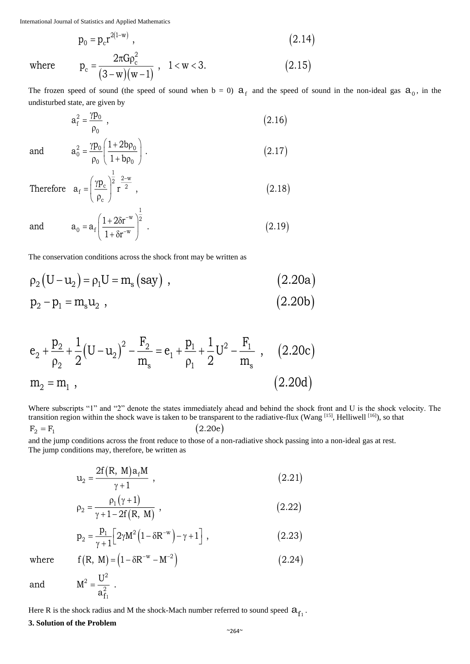$$
p_0 = p_c r^{2(1-w)} \t\t(2.14)
$$

where 
$$
p_c = \frac{2\pi G \rho_c^2}{(3-w)(w-1)}, \quad 1 < w < 3.
$$
 (2.15)

The frozen speed of sound (the speed of sound when  $b = 0$ )  $a_f$  and the speed of sound in the non-ideal gas  $a_0$ , in the undisturbed state, are given by

$$
a_f^2 = \frac{\gamma p_0}{\rho_0} \tag{2.16}
$$

and 
$$
a_0^2 = \frac{\gamma p_0}{\rho_0} \left( \frac{1 + 2b\rho_0}{1 + b\rho_0} \right)
$$
. (2.17)

Therefore 
$$
\mathbf{a}_f = \left(\frac{\gamma \mathbf{p}_c}{\rho_c}\right)^2 \mathbf{r}^{\frac{2-w}{2}}
$$
, (2.18)

and 
$$
a_0 = a_f \left( \frac{1 + 2\delta r^{-w}}{1 + \delta r^{-w}} \right)^{\frac{1}{2}}
$$
. (2.19)

The conservation conditions across the shock front may be written as

$$
\rho_2 (U - u_2) = \rho_1 U = m_s (say) , \qquad (2.20a)
$$
  
\n
$$
p_2 - p_1 = m_s u_2 , \qquad (2.20b)
$$

$$
e_2 + \frac{p_2}{\rho_2} + \frac{1}{2} (U - u_2)^2 - \frac{F_2}{m_s} = e_1 + \frac{p_1}{\rho_1} + \frac{1}{2} U^2 - \frac{F_1}{m_s} , \quad (2.20c)
$$
  

$$
m_2 = m_1 , \qquad (2.20d)
$$

Where subscripts "1" and "2" denote the states immediately ahead and behind the shock front and U is the shock velocity. The transition region within the shock wave is taken to be transparent to the radiative-flux (Wang [15], Helliwell [16]), so that  $F_2 = F_1$  (2.20e)

and the jump conditions across the front reduce to those of a non-radiative shock passing into a non-ideal gas at rest. The jump conditions may, therefore, be written as

$$
u_2 = \frac{2f(R, M)a_fM}{\gamma + 1} , \qquad (2.21)
$$

$$
\rho_2 = \frac{\rho_1 (\gamma + 1)}{\gamma + 1 - 2f(R, M)} \,, \tag{2.22}
$$

$$
p_2 = \frac{p_1}{\gamma + 1} \Big[ 2\gamma M^2 \Big( 1 - \delta R^{-w} \Big) - \gamma + 1 \Big] , \qquad (2.23)
$$

where  $f(R, M) = (1 - \delta R^{-w} - M^{-2})$  (2.24)

and 
$$
M^2 = \frac{U^2}{a_{f_1}^2}.
$$

Here R is the shock radius and M the shock-Mach number referred to sound speed  $a_{f_1}$ .

**3. Solution of the Problem**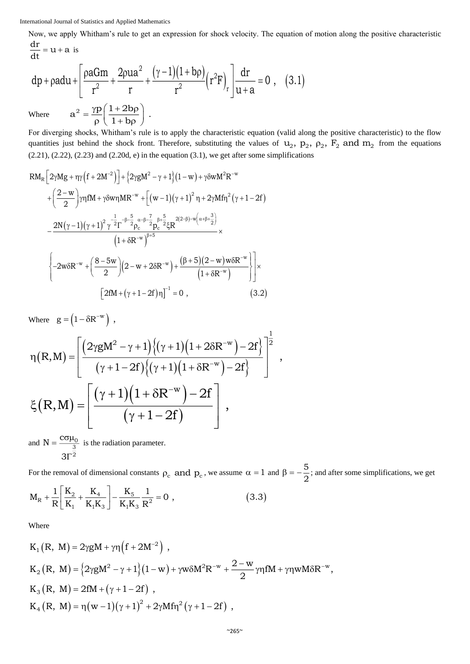Now, we apply Whitham's rule to get an expression for shock velocity. The equation of motion along the positive characteristic

$$
\frac{dr}{dt} = u + a
$$
 is  
\n
$$
dp + padu + \left[\frac{paGm}{r^2} + \frac{2pua^2}{r} + \frac{(\gamma - 1)(1 + bp)}{r^2} (r^2 F)_r\right] \frac{dr}{u + a} = 0 , (3.1)
$$
  
\nWhere 
$$
a^2 = \frac{\gamma p}{\rho} \left(\frac{1 + 2bp}{1 + bp}\right) .
$$

For diverging shocks, Whitham's rule is to apply the characteristic equation (valid along the positive characteristic) to the flow quantities just behind the shock front. Therefore, substituting the values of  $u_2$ ,  $p_2$ ,  $p_2$ ,  $F_2$  and  $m_2$  from the equations  $(2.21)$ ,  $(2.22)$ ,  $(2.23)$  and  $(2.20d, e)$  in the equation  $(3.1)$ , we get after some simplifications

$$
RM_{R}\left[2\gamma Mg + \eta\gamma\left(f + 2M^{-2}\right)\right] + \left\{2\gamma gM^{2} - \gamma + 1\right\}\left(1 - w\right) + \gamma\delta wM^{2}R^{-w} + \left(\frac{2 - w}{2}\right)\gamma\eta fM + \gamma\delta w\eta MR^{-w} + \left[(w - 1)(\gamma + 1)^{2}\eta + 2\gamma Mf\eta^{2}\left(\gamma + 1 - 2f\right)\right] - \frac{2N(\gamma - 1)(\gamma + 1)^{2}\gamma^{-\frac{1}{2}}\Gamma^{-\beta - \frac{5}{2}}\rho_{c}^{\alpha - \beta - \frac{7}{2}}p_{c}^{\beta + \frac{5}{2}}\xi R^{2(2-\beta)-w\left(\alpha + \beta + \frac{3}{2}\right)} \times \frac{\left(1 + \delta R^{-w}\right)^{\beta + 5}}{\left(1 + \delta R^{-w}\right)^{\beta + 5}} \times \left\{-2w\delta R^{-w} + \left(\frac{8 - 5w}{2}\right)\left(2 - w + 2\delta R^{-w}\right) + \frac{\left(\beta + 5\right)\left(2 - w\right)w\delta R^{-w}}{\left(1 + \delta R^{-w}\right)}\right\} \times \left[2fM + (\gamma + 1 - 2f)\eta\right]^{-1} = 0 , \tag{3.2}
$$

Where  $g = (1 - \delta R^{-w})$ ,

$$
\eta(R,M) = \left[ \frac{(2\gamma gM^2 - \gamma + 1)\{( \gamma + 1)(1 + 2\delta R^{-w}) - 2f} \}^{-\frac{1}{2}}{( \gamma + 1 - 2f)\{ (\gamma + 1)(1 + \delta R^{-w}) - 2f} \}^{-\frac{1}{2}} \right],
$$
  

$$
\xi(R,M) = \left[ \frac{(\gamma + 1)(1 + \delta R^{-w}) - 2f}{(\gamma + 1 - 2f)} \right],
$$

and  $N = \frac{c \sigma \mu}{4}$ Γ 0 3 2  $N = \frac{C}{A}$ 3 is the radiation parameter.

For the removal of dimensional constants  $\rho_c$  and  $p_c$ , we assume  $\alpha = 1$  and  $\beta = -\frac{5}{2}$ ; and after some simplifications, we get  $(3.3)$  $\begin{bmatrix} K_2 & K_4 \end{bmatrix}$  $R + \frac{1}{R} \left[ \frac{R_2}{K_1} + \frac{R_4}{K_1 K_3} \right] - \frac{R_5}{K_1 K_3} \frac{1}{R^2} =$  $M_R + \frac{1}{R} \left| \frac{K_2}{K_1} + \frac{K_4}{K_1 K_2} \right| - \frac{K_5}{K_1 K_2} \frac{1}{R^2} = 0$ , (3.3)

Where

$$
K_1(R, M) = 2\gamma gM + \gamma \eta (f + 2M^{-2}),
$$
  
\n
$$
K_2(R, M) = \{2\gamma gM^2 - \gamma + 1\}(1 - w) + \gamma w \delta M^2 R^{-w} + \frac{2 - w}{2} \gamma \eta fM + \gamma \eta w M \delta R^{-w},
$$
  
\n
$$
K_3(R, M) = 2fM + (\gamma + 1 - 2f),
$$
  
\n
$$
K_4(R, M) = \eta (w - 1)(\gamma + 1)^2 + 2\gamma M f \eta^2 (\gamma + 1 - 2f),
$$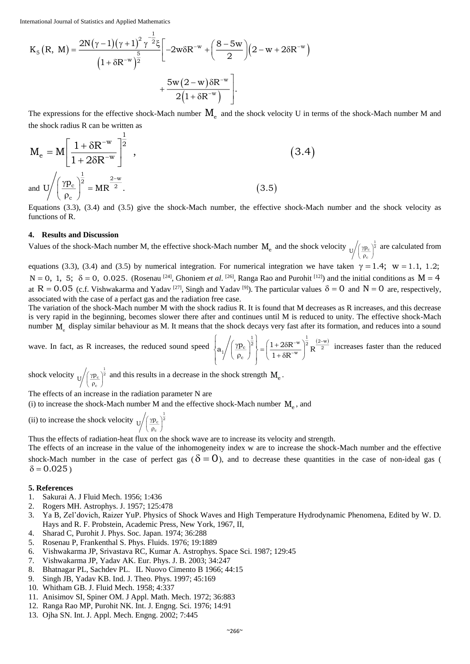$$
K_5(R, M) = \frac{2N(\gamma - 1)(\gamma + 1)^2 \gamma^{-\frac{1}{2}} \xi}{(1 + \delta R^{-w})^{\frac{5}{2}}} \left[ -2w \delta R^{-w} + \left(\frac{8 - 5w}{2}\right) (2 - w + 2\delta R^{-w}) + \frac{5w(2 - w)\delta R^{-w}}{2(1 + \delta R^{-w})} \right].
$$

The expressions for the effective shock-Mach number  $M_e$  and the shock velocity U in terms of the shock-Mach number M and the shock radius R can be written as

$$
M_{e} = M \left[ \frac{1 + \delta R^{-w}}{1 + 2\delta R^{-w}} \right]^{\frac{1}{2}},
$$
\n
$$
(3.4)
$$
\n
$$
\text{and } U \bigg/ \left( \frac{\gamma p_{c}}{p_{c}} \right)^{\frac{1}{2}} = MR^{\frac{2-w}{2}}.
$$

Equations (3.3), (3.4) and (3.5) give the shock-Mach number, the effective shock-Mach number and the shock velocity as functions of R.

#### **4. Results and Discussion**

Values of the shock-Mach number M, the effective shock-Mach number  $M_e$  and the shock velocity  $\int \left(\frac{\gamma p_c}{\rho_c}\right)^2$  $\sqrt{\frac{1}{2}}$  $U / (\frac{\gamma p_c}{\rho_c})^{\frac{1}{2}}$  are calculated from

equations (3.3), (3.4) and (3.5) by numerical integration. For numerical integration we have taken  $\gamma = 1.4$ ; w = 1.1, 1.2;  $N = 0, 1, 5; \delta = 0, 0.025$ . (Rosenau <sup>[24]</sup>, Ghoniem *et al.* <sup>[26]</sup>, Ranga Rao and Purohit <sup>[12]</sup>) and the initial conditions as  $M = 4$ at R = 0.05 (c.f. Vishwakarma and Yadav <sup>[27]</sup>, Singh and Yadav <sup>[9]</sup>). The particular values  $\delta = 0$  and N = 0 are, respectively, associated with the case of a perfact gas and the radiation free case.

The variation of the shock-Mach number M with the shock radius R. It is found that M decreases as R increases, and this decrease is very rapid in the beginning, becomes slower there after and continues until M is reduced to unity. The effective shock-Mach number M<sub>e</sub> display similar behaviour as M. It means that the shock decays very fast after its formation, and reduces into a sound

wave. In fact, as R increases, the reduced sound speed  $\int_{\mathcal{B}} /(\gamma p_c)^{\frac{1}{2}} \left[ -(\frac{1+2\delta R^{-w}}{2})^{\frac{2}{2}} \right]_{\mathcal{B}} \frac{(2-w)}{2}$ i, the shock decays very last after the<br>  $\left\{ a_1 \left/ \left( \frac{\gamma p_c}{\rho_c} \right)^{\frac{1}{2}} \right\} = \left( \frac{1 + 2\delta R^{-w}}{1 + \delta R^{-w}} \right)^{\frac{1}{2}} R^{\frac{2}{w_c}}$  $a_1 \left/ \left( \frac{\gamma p_c}{\rho_c} \right)^{\frac{1}{2}} \right\} = \left( \frac{1 + 2\delta R^{-w}}{1 + \delta R^{-w}} \right)^{\frac{1}{2}} R^{\frac{(2-w)}{2}}$  increases faster than the reduced

shock velocity  $\frac{1}{\sqrt{\frac{\gamma p_c}{\rho_c}}}$  $\frac{1}{2}$  $U / (\frac{\gamma_{\rm P_c}}{\rho_c})^2$  and this results in a decrease in the shock strength  $\rm M_e$ .

The effects of an increase in the radiation parameter N are

(i) to increase the shock-Mach number M and the effective shock-Mach number  $M_e$ , and

(ii) to increase the shock velocity  $\frac{1}{\sqrt{\frac{p_c}{p_c}}}$  $\sqrt{\left(\frac{\gamma p_c}{2}\right)^{\frac{1}{2}}}$ c

Thus the effects of radiation-heat flux on the shock wave are to increase its velocity and strength.

The effects of an increase in the value of the inhomogeneity index w are to increase the shock-Mach number and the effective shock-Mach number in the case of perfect gas ( $\delta = 0$ ), and to decrease these quantities in the case of non-ideal gas (  $\delta$  = 0.025)

#### **5. References**

- 1. Sakurai A. J Fluid Mech. 1956; 1:436
- 2. Rogers MH. Astrophys. J. 1957; 125:478
- 3. Ya B, Zel'dovich, Raizer YuP. Physics of Shock Waves and High Temperature Hydrodynamic Phenomena, Edited by W. D. Hays and R. F. Probstein, Academic Press, New York, 1967, II,
- 4. Sharad C, Purohit J. Phys. Soc. Japan. 1974; 36:288
- 5. Rosenau P, Frankenthal S. Phys. Fluids. 1976; 19:1889
- 6. Vishwakarma JP, Srivastava RC, Kumar A. Astrophys. Space Sci. 1987; 129:45
- 7. Vishwakarma JP, Yadav AK. Eur. Phys. J. B. 2003; 34:247
- 8. Bhatnagar PL, Sachdev PL. IL Nuovo Cimento B 1966; 44:15
- 9. Singh JB, Yadav KB. Ind. J. Theo. Phys. 1997; 45:169
- 10. Whitham GB. J. Fluid Mech. 1958; 4:337
- 11. Anisimov SI, Spiner OM. J Appl. Math. Mech. 1972; 36:883
- 12. Ranga Rao MP, Purohit NK. Int. J. Engng. Sci. 1976; 14:91
- 13. Ojha SN. Int. J. Appl. Mech. Engng. 2002; 7:445